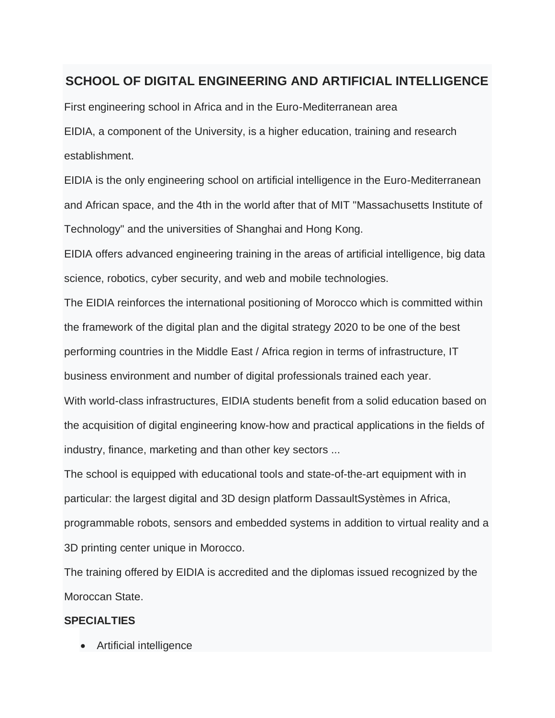## **SCHOOL OF DIGITAL ENGINEERING AND ARTIFICIAL INTELLIGENCE**

First engineering school in Africa and in the Euro-Mediterranean area

EIDIA, a component of the University, is a higher education, training and research establishment.

EIDIA is the only engineering school on artificial intelligence in the Euro-Mediterranean and African space, and the 4th in the world after that of MIT "Massachusetts Institute of Technology" and the universities of Shanghai and Hong Kong.

EIDIA offers advanced engineering training in the areas of artificial intelligence, big data science, robotics, cyber security, and web and mobile technologies.

The EIDIA reinforces the international positioning of Morocco which is committed within the framework of the digital plan and the digital strategy 2020 to be one of the best performing countries in the Middle East / Africa region in terms of infrastructure, IT business environment and number of digital professionals trained each year.

With world-class infrastructures, EIDIA students benefit from a solid education based on the acquisition of digital engineering know-how and practical applications in the fields of industry, finance, marketing and than other key sectors ...

The school is equipped with educational tools and state-of-the-art equipment with in particular: the largest digital and 3D design platform DassaultSystèmes in Africa, programmable robots, sensors and embedded systems in addition to virtual reality and a 3D printing center unique in Morocco.

The training offered by EIDIA is accredited and the diplomas issued recognized by the Moroccan State.

## **SPECIALTIES**

Artificial intelligence